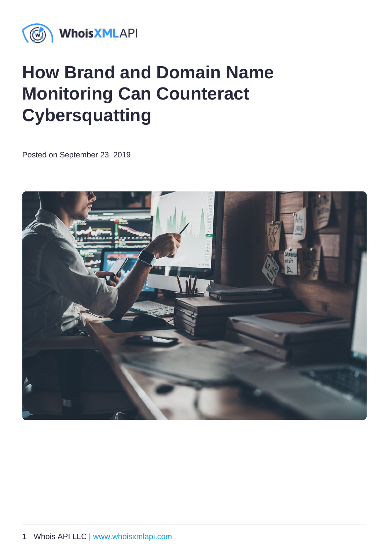# How Brand and Domain Name Monitoring Can Counteract **Cybersquatting**

Posted on September 23, 2019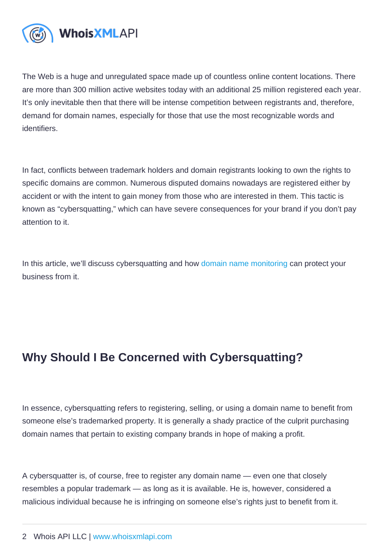The Web is a huge and unregulated space made up of countless online content locations. There are more than 300 million active websites today with an additional 25 million registered each year. It's only inevitable then that there will be intense competition between registrants and, therefore, demand for domain names, especially for those that use the most recognizable words and identifiers.

In fact, conflicts between trademark holders and domain registrants looking to own the rights to specific domains are common. Numerous disputed domains nowadays are registered either by accident or with the intent to gain money from those who are interested in them. This tactic is known as "cybersquatting," which can have severe consequences for your brand if you don't pay attention to it.

In this article, we'll discuss cybersquatting and how [domain name monitoring](https://drs.whoisxmlapi.com/) can protect your business from it.

# Why Should I Be Concerned with Cybersquatting?

In essence, cybersquatting refers to registering, selling, or using a domain name to benefit from someone else's trademarked property. It is generally a shady practice of the culprit purchasing domain names that pertain to existing company brands in hope of making a profit.

A cybersquatter is, of course, free to register any domain name — even one that closely resembles a popular trademark — as long as it is available. He is, however, considered a malicious individual because he is infringing on someone else's rights just to benefit from it.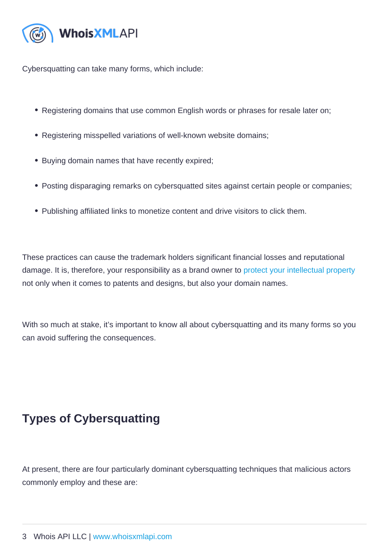Cybersquatting can take many forms, which include:

- Registering domains that use common English words or phrases for resale later on;
- Registering misspelled variations of well-known website domains;
- Buying domain names that have recently expired;
- Posting disparaging remarks on cybersquatted sites against certain people or companies;
- Publishing affiliated links to monetize content and drive visitors to click them.

These practices can cause the trademark holders significant financial losses and reputational damage. It is, therefore, your responsibility as a brand owner to [protect your intellectual property](https://main.whoisxmlapi.com/online-brand-protection-fighting-domain-name-typosquatting-website-spoofing-and-phishing) not only when it comes to patents and designs, but also your domain names.

With so much at stake, it's important to know all about cybersquatting and its many forms so you can avoid suffering the consequences.

### Types of Cybersquatting

At present, there are four particularly dominant cybersquatting techniques that malicious actors commonly employ and these are: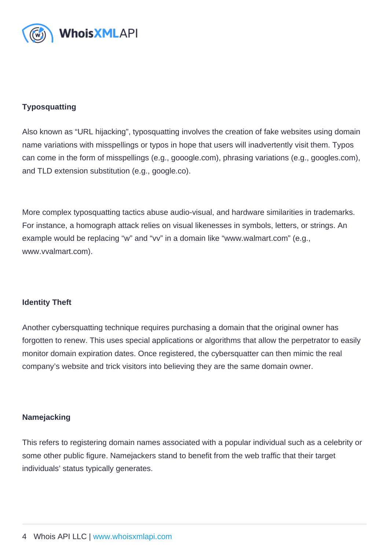#### **Typosquatting**

Also known as "URL hijacking", typosquatting involves the creation of fake websites using domain name variations with misspellings or typos in hope that users will inadvertently visit them. Typos can come in the form of misspellings (e.g., gooogle.com), phrasing variations (e.g., googles.com), and TLD extension substitution (e.g., google.co).

More complex typosquatting tactics abuse audio-visual, and hardware similarities in trademarks. For instance, a homograph attack relies on visual likenesses in symbols, letters, or strings. An example would be replacing "w" and "vv" in a domain like "www.walmart.com" (e.g., www.vvalmart.com).

#### Identity Theft

Another cybersquatting technique requires purchasing a domain that the original owner has forgotten to renew. This uses special applications or algorithms that allow the perpetrator to easily monitor domain expiration dates. Once registered, the cybersquatter can then mimic the real company's website and trick visitors into believing they are the same domain owner.

#### **Namejacking**

This refers to registering domain names associated with a popular individual such as a celebrity or some other public figure. Namejackers stand to benefit from the web traffic that their target individuals' status typically generates.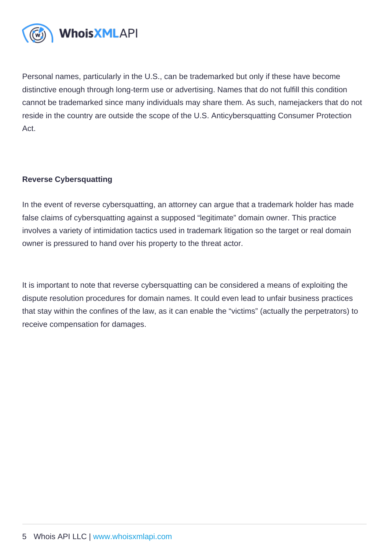Personal names, particularly in the U.S., can be trademarked but only if these have become distinctive enough through long-term use or advertising. Names that do not fulfill this condition cannot be trademarked since many individuals may share them. As such, namejackers that do not reside in the country are outside the scope of the U.S. Anticybersquatting Consumer Protection Act.

#### Reverse Cybersquatting

In the event of reverse cybersquatting, an attorney can argue that a trademark holder has made false claims of cybersquatting against a supposed "legitimate" domain owner. This practice involves a variety of intimidation tactics used in trademark litigation so the target or real domain owner is pressured to hand over his property to the threat actor.

It is important to note that reverse cybersquatting can be considered a means of exploiting the dispute resolution procedures for domain names. It could even lead to unfair business practices that stay within the confines of the law, as it can enable the "victims" (actually the perpetrators) to receive compensation for damages.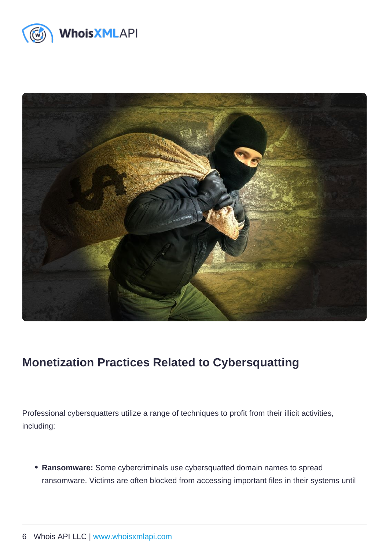## Monetization Practices Related to Cybersquatting

Professional cybersquatters utilize a range of techniques to profit from their illicit activities, including:

Ransomware: Some cybercriminals use cybersquatted domain names to spread ransomware. Victims are often blocked from accessing important files in their systems until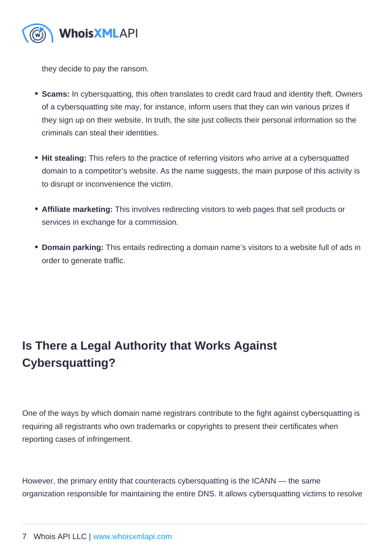they decide to pay the ransom.

- Scams: In cybersquatting, this often translates to credit card fraud and identity theft. Owners of a cybersquatting site may, for instance, inform users that they can win various prizes if they sign up on their website. In truth, the site just collects their personal information so the criminals can steal their identities.
- Hit stealing: This refers to the practice of referring visitors who arrive at a cybersquatted domain to a competitor's website. As the name suggests, the main purpose of this activity is to disrupt or inconvenience the victim.
- Affiliate marketing: This involves redirecting visitors to web pages that sell products or services in exchange for a commission.
- Domain parking: This entails redirecting a domain name's visitors to a website full of ads in order to generate traffic.

# Is There a Legal Authority that Works Against Cybersquatting?

One of the ways by which domain name registrars contribute to the fight against cybersquatting is requiring all registrants who own trademarks or copyrights to present their certificates when reporting cases of infringement.

However, the primary entity that counteracts cybersquatting is the ICANN — the same organization responsible for maintaining the entire DNS. It allows cybersquatting victims to resolve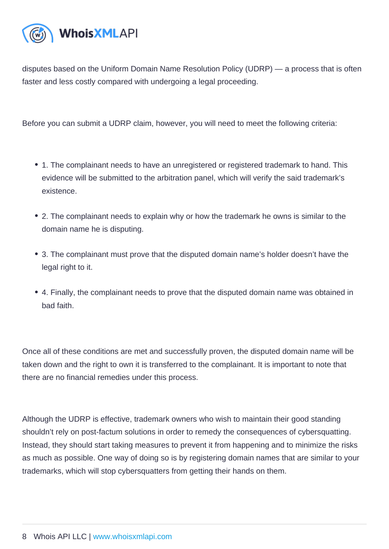disputes based on the Uniform Domain Name Resolution Policy (UDRP) — a process that is often faster and less costly compared with undergoing a legal proceeding.

Before you can submit a UDRP claim, however, you will need to meet the following criteria:

- 1. The complainant needs to have an unregistered or registered trademark to hand. This evidence will be submitted to the arbitration panel, which will verify the said trademark's existence.
- 2. The complainant needs to explain why or how the trademark he owns is similar to the domain name he is disputing.
- 3. The complainant must prove that the disputed domain name's holder doesn't have the legal right to it.
- 4. Finally, the complainant needs to prove that the disputed domain name was obtained in bad faith.

Once all of these conditions are met and successfully proven, the disputed domain name will be taken down and the right to own it is transferred to the complainant. It is important to note that there are no financial remedies under this process.

Although the UDRP is effective, trademark owners who wish to maintain their good standing shouldn't rely on post-factum solutions in order to remedy the consequences of cybersquatting. Instead, they should start taking measures to prevent it from happening and to minimize the risks as much as possible. One way of doing so is by registering domain names that are similar to your trademarks, which will stop cybersquatters from getting their hands on them.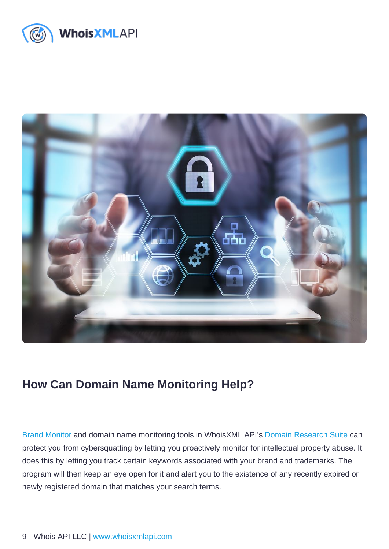### How Can Domain Name Monitoring Help?

[Brand Monitor](https://drs.whoisxmlapi.com/brand-monitor) and domain name monitoring tools in WhoisXML API's [Domain Research Suite](https://drs.whoisxmlapi.com/) can protect you from cybersquatting by letting you proactively monitor for intellectual property abuse. It does this by letting you track certain keywords associated with your brand and trademarks. The program will then keep an eye open for it and alert you to the existence of any recently expired or newly registered domain that matches your search terms.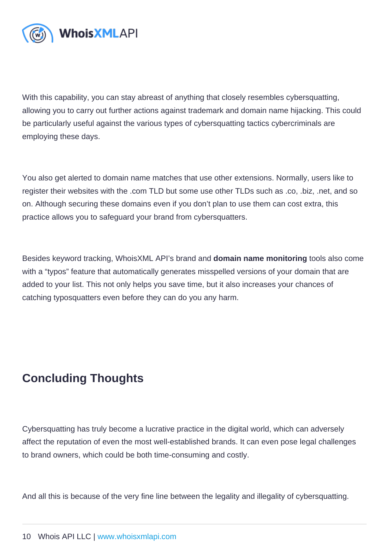With this capability, you can stay abreast of anything that closely resembles cybersquatting, allowing you to carry out further actions against trademark and domain name hijacking. This could be particularly useful against the various types of cybersquatting tactics cybercriminals are employing these days.

You also get alerted to domain name matches that use other extensions. Normally, users like to register their websites with the .com TLD but some use other TLDs such as .co, .biz, .net, and so on. Although securing these domains even if you don't plan to use them can cost extra, this practice allows you to safeguard your brand from cybersquatters.

Besides keyword tracking, WhoisXML API's brand and domain name monitoring tools also come with a "typos" feature that automatically generates misspelled versions of your domain that are added to your list. This not only helps you save time, but it also increases your chances of catching typosquatters even before they can do you any harm.

### Concluding Thoughts

Cybersquatting has truly become a lucrative practice in the digital world, which can adversely affect the reputation of even the most well-established brands. It can even pose legal challenges to brand owners, which could be both time-consuming and costly.

And all this is because of the very fine line between the legality and illegality of cybersquatting.